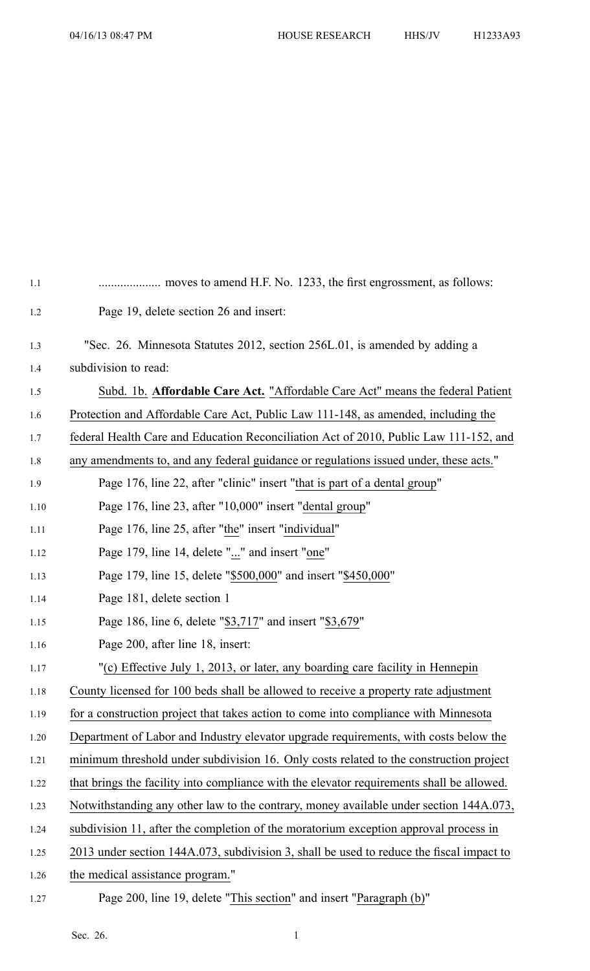| 1.1  |                                                                                           |
|------|-------------------------------------------------------------------------------------------|
| 1.2  | Page 19, delete section 26 and insert:                                                    |
| 1.3  | "Sec. 26. Minnesota Statutes 2012, section 256L.01, is amended by adding a                |
| 1.4  | subdivision to read:                                                                      |
| 1.5  | Subd. 1b. Affordable Care Act. "Affordable Care Act" means the federal Patient            |
| 1.6  | Protection and Affordable Care Act, Public Law 111-148, as amended, including the         |
| 1.7  | federal Health Care and Education Reconciliation Act of 2010, Public Law 111-152, and     |
| 1.8  | any amendments to, and any federal guidance or regulations issued under, these acts."     |
| 1.9  | Page 176, line 22, after "clinic" insert "that is part of a dental group"                 |
| 1.10 | Page 176, line 23, after "10,000" insert "dental group"                                   |
| 1.11 | Page 176, line 25, after "the" insert "individual"                                        |
| 1.12 | Page 179, line 14, delete "" and insert "one"                                             |
| 1.13 | Page 179, line 15, delete "\$500,000" and insert "\$450,000"                              |
| 1.14 | Page 181, delete section 1                                                                |
| 1.15 | Page 186, line 6, delete "\$3,717" and insert "\$3,679"                                   |
| 1.16 | Page 200, after line 18, insert:                                                          |
| 1.17 | "(c) Effective July 1, 2013, or later, any boarding care facility in Hennepin             |
| 1.18 | County licensed for 100 beds shall be allowed to receive a property rate adjustment       |
| 1.19 | for a construction project that takes action to come into compliance with Minnesota       |
| 1.20 | Department of Labor and Industry elevator upgrade requirements, with costs below the      |
| 1.21 | minimum threshold under subdivision 16. Only costs related to the construction project    |
| 1.22 | that brings the facility into compliance with the elevator requirements shall be allowed. |
| 1.23 | Notwithstanding any other law to the contrary, money available under section 144A.073,    |
| 1.24 | subdivision 11, after the completion of the moratorium exception approval process in      |
| 1.25 | 2013 under section 144A.073, subdivision 3, shall be used to reduce the fiscal impact to  |
| 1.26 | the medical assistance program."                                                          |
| 1.27 | Page 200, line 19, delete "This section" and insert "Paragraph (b)"                       |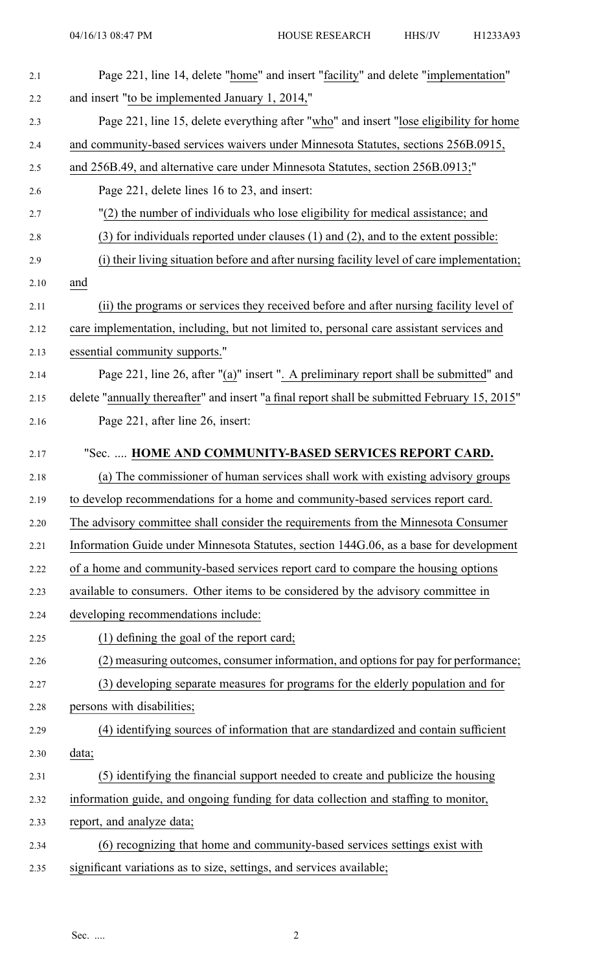| 2.1  | Page 221, line 14, delete "home" and insert "facility" and delete "implementation"            |
|------|-----------------------------------------------------------------------------------------------|
| 2.2  | and insert "to be implemented January 1, 2014,"                                               |
| 2.3  | Page 221, line 15, delete everything after "who" and insert "lose eligibility for home        |
| 2.4  | and community-based services waivers under Minnesota Statutes, sections 256B.0915,            |
| 2.5  | and 256B.49, and alternative care under Minnesota Statutes, section 256B.0913;"               |
| 2.6  | Page 221, delete lines 16 to 23, and insert:                                                  |
| 2.7  | "(2) the number of individuals who lose eligibility for medical assistance; and               |
| 2.8  | $(3)$ for individuals reported under clauses $(1)$ and $(2)$ , and to the extent possible:    |
| 2.9  | (i) their living situation before and after nursing facility level of care implementation;    |
| 2.10 | and                                                                                           |
| 2.11 | (ii) the programs or services they received before and after nursing facility level of        |
| 2.12 | care implementation, including, but not limited to, personal care assistant services and      |
| 2.13 | essential community supports."                                                                |
| 2.14 | Page 221, line 26, after "(a)" insert ". A preliminary report shall be submitted" and         |
| 2.15 | delete "annually thereafter" and insert "a final report shall be submitted February 15, 2015" |
| 2.16 | Page 221, after line 26, insert:                                                              |
| 2.17 | "Sec.  HOME AND COMMUNITY-BASED SERVICES REPORT CARD.                                         |
| 2.18 | (a) The commissioner of human services shall work with existing advisory groups               |
| 2.19 | to develop recommendations for a home and community-based services report card.               |
| 2.20 | The advisory committee shall consider the requirements from the Minnesota Consumer            |
| 2.21 | Information Guide under Minnesota Statutes, section 144G.06, as a base for development        |
| 2.22 | of a home and community-based services report card to compare the housing options             |
| 2.23 | available to consumers. Other items to be considered by the advisory committee in             |
| 2.24 | developing recommendations include:                                                           |
| 2.25 | (1) defining the goal of the report card;                                                     |
| 2.26 | (2) measuring outcomes, consumer information, and options for pay for performance;            |
| 2.27 | (3) developing separate measures for programs for the elderly population and for              |
| 2.28 | persons with disabilities;                                                                    |
| 2.29 | (4) identifying sources of information that are standardized and contain sufficient           |
| 2.30 | data;                                                                                         |
| 2.31 | (5) identifying the financial support needed to create and publicize the housing              |
| 2.32 | information guide, and ongoing funding for data collection and staffing to monitor,           |
| 2.33 | report, and analyze data;                                                                     |
| 2.34 | (6) recognizing that home and community-based services settings exist with                    |
| 2.35 | significant variations as to size, settings, and services available;                          |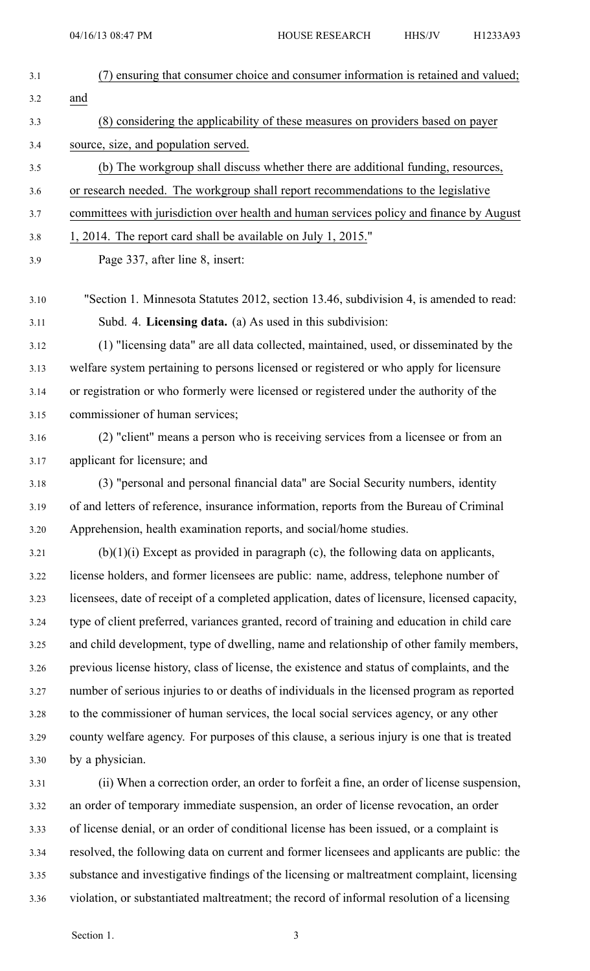| (7) ensuring that consumer choice and consumer information is retained and valued;            |
|-----------------------------------------------------------------------------------------------|
| and                                                                                           |
| (8) considering the applicability of these measures on providers based on payer               |
| source, size, and population served.                                                          |
| (b) The workgroup shall discuss whether there are additional funding, resources,              |
| or research needed. The workgroup shall report recommendations to the legislative             |
| committees with jurisdiction over health and human services policy and finance by August      |
| 1, 2014. The report card shall be available on July 1, 2015."                                 |
| Page 337, after line 8, insert:                                                               |
| "Section 1. Minnesota Statutes 2012, section 13.46, subdivision 4, is amended to read:        |
| Subd. 4. Licensing data. (a) As used in this subdivision:                                     |
| (1) "licensing data" are all data collected, maintained, used, or disseminated by the         |
| welfare system pertaining to persons licensed or registered or who apply for licensure        |
| or registration or who formerly were licensed or registered under the authority of the        |
| commissioner of human services;                                                               |
| (2) "client" means a person who is receiving services from a licensee or from an              |
| applicant for licensure; and                                                                  |
| (3) "personal and personal financial data" are Social Security numbers, identity              |
| of and letters of reference, insurance information, reports from the Bureau of Criminal       |
| Apprehension, health examination reports, and social/home studies.                            |
| $(b)(1)(i)$ Except as provided in paragraph (c), the following data on applicants,            |
| license holders, and former licensees are public: name, address, telephone number of          |
| licensees, date of receipt of a completed application, dates of licensure, licensed capacity, |
| type of client preferred, variances granted, record of training and education in child care   |
| and child development, type of dwelling, name and relationship of other family members,       |
| previous license history, class of license, the existence and status of complaints, and the   |
| number of serious injuries to or deaths of individuals in the licensed program as reported    |
| to the commissioner of human services, the local social services agency, or any other         |
| county welfare agency. For purposes of this clause, a serious injury is one that is treated   |
| by a physician.                                                                               |
| (ii) When a correction order, an order to forfeit a fine, an order of license suspension,     |
| an order of temporary immediate suspension, an order of license revocation, an order          |
| of license denial, or an order of conditional license has been issued, or a complaint is      |
| resolved, the following data on current and former licensees and applicants are public: the   |
| substance and investigative findings of the licensing or maltreatment complaint, licensing    |

3.36 violation, or substantiated maltreatment; the record of informal resolution of <sup>a</sup> licensing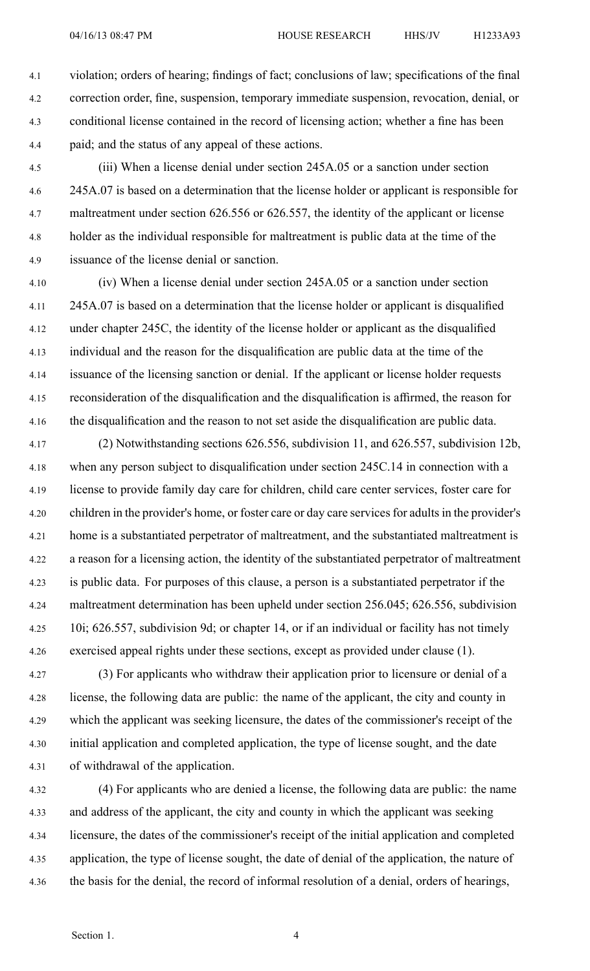4.1 violation; orders of hearing; findings of fact; conclusions of law; specifications of the final 4.2 correction order, fine, suspension, temporary immediate suspension, revocation, denial, or 4.3 conditional license contained in the record of licensing action; whether <sup>a</sup> fine has been 4.4 paid; and the status of any appeal of these actions.

4.5 (iii) When <sup>a</sup> license denial under section 245A.05 or <sup>a</sup> sanction under section 4.6 245A.07 is based on <sup>a</sup> determination that the license holder or applicant is responsible for 4.7 maltreatment under section 626.556 or 626.557, the identity of the applicant or license 4.8 holder as the individual responsible for maltreatment is public data at the time of the 4.9 issuance of the license denial or sanction.

4.10 (iv) When <sup>a</sup> license denial under section 245A.05 or <sup>a</sup> sanction under section 4.11 245A.07 is based on <sup>a</sup> determination that the license holder or applicant is disqualified 4.12 under chapter 245C, the identity of the license holder or applicant as the disqualified 4.13 individual and the reason for the disqualification are public data at the time of the 4.14 issuance of the licensing sanction or denial. If the applicant or license holder requests 4.15 reconsideration of the disqualification and the disqualification is affirmed, the reason for 4.16 the disqualification and the reason to not set aside the disqualification are public data.

4.17 (2) Notwithstanding sections 626.556, subdivision 11, and 626.557, subdivision 12b, 4.18 when any person subject to disqualification under section 245C.14 in connection with <sup>a</sup> 4.19 license to provide family day care for children, child care center services, foster care for 4.20 children in the provider's home, or foster care or day care servicesfor adultsin the provider's 4.21 home is <sup>a</sup> substantiated perpetrator of maltreatment, and the substantiated maltreatment is 4.22 <sup>a</sup> reason for <sup>a</sup> licensing action, the identity of the substantiated perpetrator of maltreatment 4.23 is public data. For purposes of this clause, <sup>a</sup> person is <sup>a</sup> substantiated perpetrator if the 4.24 maltreatment determination has been upheld under section 256.045; 626.556, subdivision 4.25 10i; 626.557, subdivision 9d; or chapter 14, or if an individual or facility has not timely 4.26 exercised appeal rights under these sections, excep<sup>t</sup> as provided under clause (1).

4.27 (3) For applicants who withdraw their application prior to licensure or denial of <sup>a</sup> 4.28 license, the following data are public: the name of the applicant, the city and county in 4.29 which the applicant was seeking licensure, the dates of the commissioner's receipt of the 4.30 initial application and completed application, the type of license sought, and the date 4.31 of withdrawal of the application.

4.32 (4) For applicants who are denied <sup>a</sup> license, the following data are public: the name 4.33 and address of the applicant, the city and county in which the applicant was seeking 4.34 licensure, the dates of the commissioner's receipt of the initial application and completed 4.35 application, the type of license sought, the date of denial of the application, the nature of 4.36 the basis for the denial, the record of informal resolution of <sup>a</sup> denial, orders of hearings,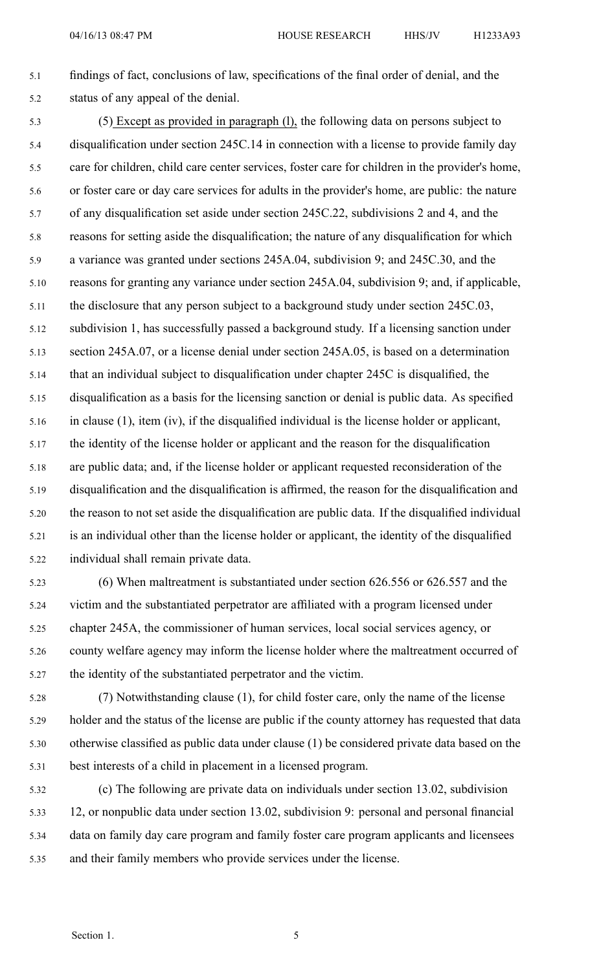## 5.1 findings of fact, conclusions of law, specifications of the final order of denial, and the 5.2 status of any appeal of the denial.

5.3 (5) Except as provided in paragraph (l), the following data on persons subject to 5.4 disqualification under section 245C.14 in connection with <sup>a</sup> license to provide family day 5.5 care for children, child care center services, foster care for children in the provider's home, 5.6 or foster care or day care services for adults in the provider's home, are public: the nature 5.7 of any disqualification set aside under section 245C.22, subdivisions 2 and 4, and the 5.8 reasons for setting aside the disqualification; the nature of any disqualification for which 5.9 <sup>a</sup> variance was granted under sections 245A.04, subdivision 9; and 245C.30, and the 5.10 reasons for granting any variance under section 245A.04, subdivision 9; and, if applicable, 5.11 the disclosure that any person subject to <sup>a</sup> background study under section 245C.03, 5.12 subdivision 1, has successfully passed <sup>a</sup> background study. If <sup>a</sup> licensing sanction under 5.13 section 245A.07, or <sup>a</sup> license denial under section 245A.05, is based on <sup>a</sup> determination 5.14 that an individual subject to disqualification under chapter 245C is disqualified, the 5.15 disqualification as <sup>a</sup> basis for the licensing sanction or denial is public data. As specified 5.16 in clause (1), item (iv), if the disqualified individual is the license holder or applicant, 5.17 the identity of the license holder or applicant and the reason for the disqualification 5.18 are public data; and, if the license holder or applicant requested reconsideration of the 5.19 disqualification and the disqualification is affirmed, the reason for the disqualification and 5.20 the reason to not set aside the disqualification are public data. If the disqualified individual 5.21 is an individual other than the license holder or applicant, the identity of the disqualified 5.22 individual shall remain private data.

5.23 (6) When maltreatment is substantiated under section 626.556 or 626.557 and the 5.24 victim and the substantiated perpetrator are affiliated with <sup>a</sup> program licensed under 5.25 chapter 245A, the commissioner of human services, local social services agency, or 5.26 county welfare agency may inform the license holder where the maltreatment occurred of 5.27 the identity of the substantiated perpetrator and the victim.

- 5.28 (7) Notwithstanding clause (1), for child foster care, only the name of the license 5.29 holder and the status of the license are public if the county attorney has requested that data 5.30 otherwise classified as public data under clause (1) be considered private data based on the 5.31 best interests of <sup>a</sup> child in placement in <sup>a</sup> licensed program.
- 5.32 (c) The following are private data on individuals under section 13.02, subdivision 5.33 12, or nonpublic data under section 13.02, subdivision 9: personal and personal financial 5.34 data on family day care program and family foster care program applicants and licensees 5.35 and their family members who provide services under the license.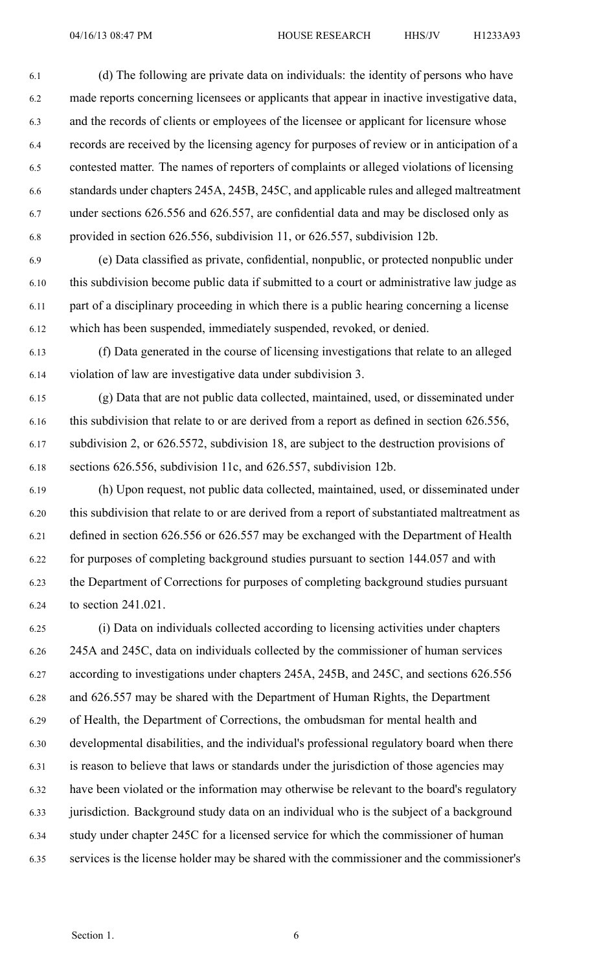6.1 (d) The following are private data on individuals: the identity of persons who have 6.2 made reports concerning licensees or applicants that appear in inactive investigative data, 6.3 and the records of clients or employees of the licensee or applicant for licensure whose 6.4 records are received by the licensing agency for purposes of review or in anticipation of <sup>a</sup> 6.5 contested matter. The names of reporters of complaints or alleged violations of licensing 6.6 standards under chapters 245A, 245B, 245C, and applicable rules and alleged maltreatment 6.7 under sections 626.556 and 626.557, are confidential data and may be disclosed only as 6.8 provided in section 626.556, subdivision 11, or 626.557, subdivision 12b.

6.9 (e) Data classified as private, confidential, nonpublic, or protected nonpublic under 6.10 this subdivision become public data if submitted to <sup>a</sup> court or administrative law judge as 6.11 par<sup>t</sup> of <sup>a</sup> disciplinary proceeding in which there is <sup>a</sup> public hearing concerning <sup>a</sup> license 6.12 which has been suspended, immediately suspended, revoked, or denied.

6.13 (f) Data generated in the course of licensing investigations that relate to an alleged 6.14 violation of law are investigative data under subdivision 3.

6.15 (g) Data that are not public data collected, maintained, used, or disseminated under 6.16 this subdivision that relate to or are derived from <sup>a</sup> repor<sup>t</sup> as defined in section 626.556, 6.17 subdivision 2, or 626.5572, subdivision 18, are subject to the destruction provisions of 6.18 sections 626.556, subdivision 11c, and 626.557, subdivision 12b.

6.19 (h) Upon request, not public data collected, maintained, used, or disseminated under 6.20 this subdivision that relate to or are derived from <sup>a</sup> repor<sup>t</sup> of substantiated maltreatment as 6.21 defined in section 626.556 or 626.557 may be exchanged with the Department of Health 6.22 for purposes of completing background studies pursuan<sup>t</sup> to section 144.057 and with 6.23 the Department of Corrections for purposes of completing background studies pursuan<sup>t</sup> 6.24 to section 241.021.

6.25 (i) Data on individuals collected according to licensing activities under chapters 6.26 245A and 245C, data on individuals collected by the commissioner of human services 6.27 according to investigations under chapters 245A, 245B, and 245C, and sections 626.556 6.28 and 626.557 may be shared with the Department of Human Rights, the Department 6.29 of Health, the Department of Corrections, the ombudsman for mental health and 6.30 developmental disabilities, and the individual's professional regulatory board when there 6.31 is reason to believe that laws or standards under the jurisdiction of those agencies may 6.32 have been violated or the information may otherwise be relevant to the board's regulatory 6.33 jurisdiction. Background study data on an individual who is the subject of <sup>a</sup> background 6.34 study under chapter 245C for <sup>a</sup> licensed service for which the commissioner of human 6.35 services is the license holder may be shared with the commissioner and the commissioner's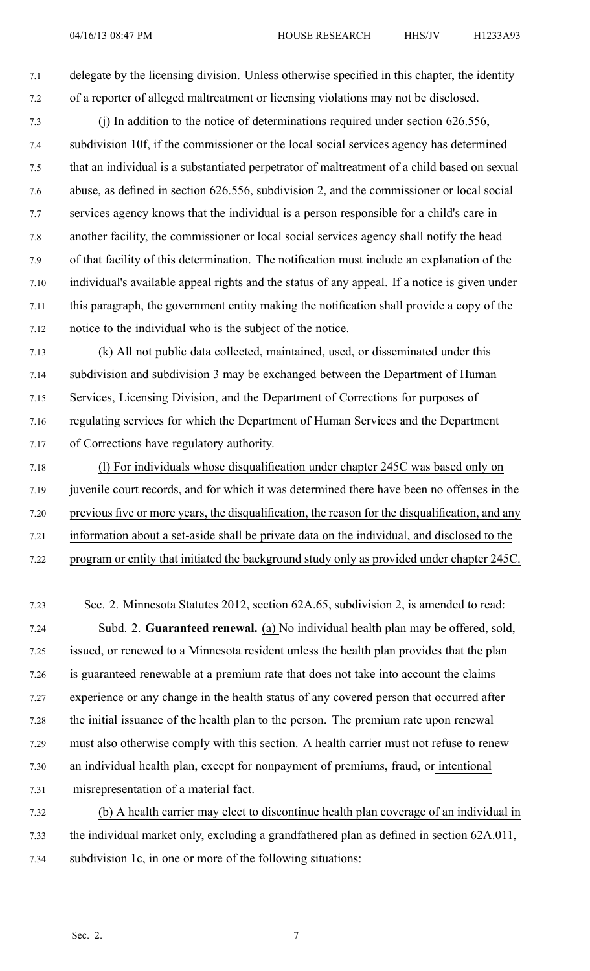7.1 delegate by the licensing division. Unless otherwise specified in this chapter, the identity 7.2 of <sup>a</sup> reporter of alleged maltreatment or licensing violations may not be disclosed.

- 7.3 (j) In addition to the notice of determinations required under section 626.556, 7.4 subdivision 10f, if the commissioner or the local social services agency has determined 7.5 that an individual is <sup>a</sup> substantiated perpetrator of maltreatment of <sup>a</sup> child based on sexual 7.6 abuse, as defined in section 626.556, subdivision 2, and the commissioner or local social 7.7 services agency knows that the individual is <sup>a</sup> person responsible for <sup>a</sup> child's care in 7.8 another facility, the commissioner or local social services agency shall notify the head 7.9 of that facility of this determination. The notification must include an explanation of the 7.10 individual's available appeal rights and the status of any appeal. If <sup>a</sup> notice is given under 7.11 this paragraph, the governmen<sup>t</sup> entity making the notification shall provide <sup>a</sup> copy of the 7.12 notice to the individual who is the subject of the notice.
- 7.13 (k) All not public data collected, maintained, used, or disseminated under this 7.14 subdivision and subdivision 3 may be exchanged between the Department of Human 7.15 Services, Licensing Division, and the Department of Corrections for purposes of 7.16 regulating services for which the Department of Human Services and the Department 7.17 of Corrections have regulatory authority.
- 7.18 (l) For individuals whose disqualification under chapter 245C was based only on 7.19 juvenile court records, and for which it was determined there have been no offenses in the 7.20 previous five or more years, the disqualification, the reason for the disqualification, and any 7.21 information about <sup>a</sup> set-aside shall be private data on the individual, and disclosed to the
- 7.22 program or entity that initiated the background study only as provided under chapter 245C.
- 7.23 Sec. 2. Minnesota Statutes 2012, section 62A.65, subdivision 2, is amended to read: 7.24 Subd. 2. **Guaranteed renewal.** (a) No individual health plan may be offered, sold, 7.25 issued, or renewed to <sup>a</sup> Minnesota resident unless the health plan provides that the plan 7.26 is guaranteed renewable at <sup>a</sup> premium rate that does not take into account the claims 7.27 experience or any change in the health status of any covered person that occurred after 7.28 the initial issuance of the health plan to the person. The premium rate upon renewal 7.29 must also otherwise comply with this section. A health carrier must not refuse to renew 7.30 an individual health plan, excep<sup>t</sup> for nonpaymen<sup>t</sup> of premiums, fraud, or intentional 7.31 misrepresentation of <sup>a</sup> material fact. 7.32 (b) A health carrier may elect to discontinue health plan coverage of an individual in
- 7.33 the individual market only, excluding <sup>a</sup> grandfathered plan as defined in section 62A.011,
- 7.34 subdivision 1c, in one or more of the following situations: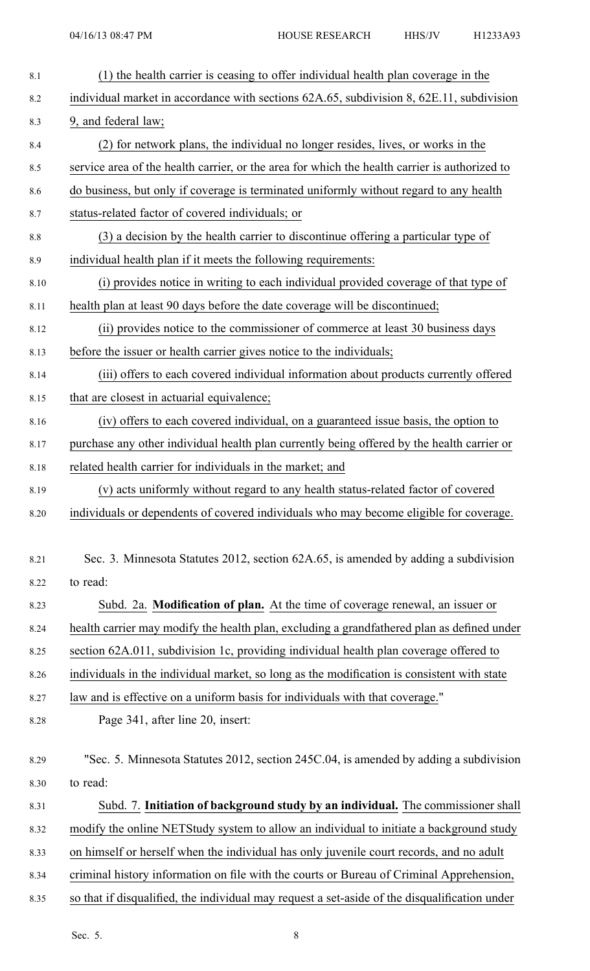| 8.1  | (1) the health carrier is ceasing to offer individual health plan coverage in the             |
|------|-----------------------------------------------------------------------------------------------|
| 8.2  | individual market in accordance with sections 62A.65, subdivision 8, 62E.11, subdivision      |
| 8.3  | 9, and federal law;                                                                           |
| 8.4  | (2) for network plans, the individual no longer resides, lives, or works in the               |
| 8.5  | service area of the health carrier, or the area for which the health carrier is authorized to |
| 8.6  | do business, but only if coverage is terminated uniformly without regard to any health        |
| 8.7  | status-related factor of covered individuals; or                                              |
| 8.8  | (3) a decision by the health carrier to discontinue offering a particular type of             |
| 8.9  | individual health plan if it meets the following requirements:                                |
| 8.10 | (i) provides notice in writing to each individual provided coverage of that type of           |
| 8.11 | health plan at least 90 days before the date coverage will be discontinued;                   |
| 8.12 | (ii) provides notice to the commissioner of commerce at least 30 business days                |
| 8.13 | before the issuer or health carrier gives notice to the individuals;                          |
| 8.14 | (iii) offers to each covered individual information about products currently offered          |
| 8.15 | that are closest in actuarial equivalence;                                                    |
| 8.16 | (iv) offers to each covered individual, on a guaranteed issue basis, the option to            |
| 8.17 | purchase any other individual health plan currently being offered by the health carrier or    |
| 8.18 | related health carrier for individuals in the market; and                                     |
| 8.19 | (v) acts uniformly without regard to any health status-related factor of covered              |
| 8.20 | individuals or dependents of covered individuals who may become eligible for coverage.        |
|      |                                                                                               |
| 8.21 | Sec. 3. Minnesota Statutes 2012, section 62A.65, is amended by adding a subdivision           |
| 8.22 | to read:                                                                                      |
| 8.23 | Subd. 2a. Modification of plan. At the time of coverage renewal, an issuer or                 |
| 8.24 | health carrier may modify the health plan, excluding a grandfathered plan as defined under    |
| 8.25 | section 62A.011, subdivision 1c, providing individual health plan coverage offered to         |
| 8.26 | individuals in the individual market, so long as the modification is consistent with state    |
| 8.27 | law and is effective on a uniform basis for individuals with that coverage."                  |
| 8.28 | Page 341, after line 20, insert:                                                              |
|      |                                                                                               |
| 8.29 | "Sec. 5. Minnesota Statutes 2012, section 245C.04, is amended by adding a subdivision         |
| 8.30 | to read:                                                                                      |
| 8.31 | Subd. 7. Initiation of background study by an individual. The commissioner shall              |
| 8.32 | modify the online NETStudy system to allow an individual to initiate a background study       |
| 8.33 | on himself or herself when the individual has only juvenile court records, and no adult       |
| 8.34 | criminal history information on file with the courts or Bureau of Criminal Apprehension,      |
| 8.35 | so that if disqualified, the individual may request a set-aside of the disqualification under |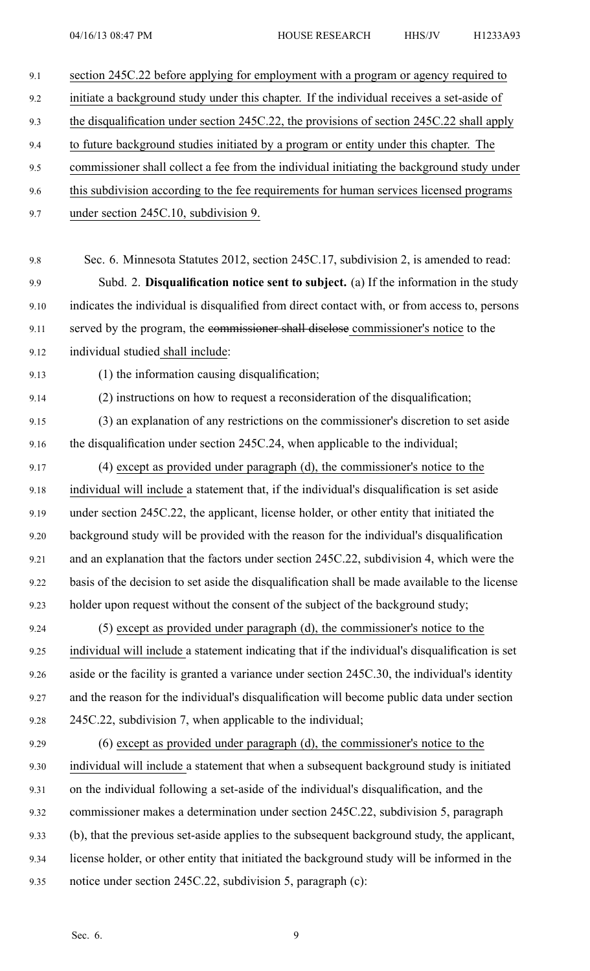| 9.1  | section 245C.22 before applying for employment with a program or agency required to             |
|------|-------------------------------------------------------------------------------------------------|
| 9.2  | initiate a background study under this chapter. If the individual receives a set-aside of       |
| 9.3  | the disqualification under section 245C.22, the provisions of section 245C.22 shall apply       |
| 9.4  | to future background studies initiated by a program or entity under this chapter. The           |
| 9.5  | commissioner shall collect a fee from the individual initiating the background study under      |
| 9.6  | this subdivision according to the fee requirements for human services licensed programs         |
| 9.7  | under section 245C.10, subdivision 9.                                                           |
|      |                                                                                                 |
| 9.8  | Sec. 6. Minnesota Statutes 2012, section 245C.17, subdivision 2, is amended to read:            |
| 9.9  | Subd. 2. Disqualification notice sent to subject. (a) If the information in the study           |
| 9.10 | indicates the individual is disqualified from direct contact with, or from access to, persons   |
| 9.11 | served by the program, the commissioner shall disclose commissioner's notice to the             |
| 9.12 | individual studied shall include:                                                               |
| 9.13 | (1) the information causing disqualification;                                                   |
| 9.14 | (2) instructions on how to request a reconsideration of the disqualification;                   |
| 9.15 | (3) an explanation of any restrictions on the commissioner's discretion to set aside            |
| 9.16 | the disqualification under section 245C.24, when applicable to the individual;                  |
| 9.17 | (4) except as provided under paragraph (d), the commissioner's notice to the                    |
| 9.18 | individual will include a statement that, if the individual's disqualification is set aside     |
| 9.19 | under section 245C.22, the applicant, license holder, or other entity that initiated the        |
| 9.20 | background study will be provided with the reason for the individual's disqualification         |
| 9.21 | and an explanation that the factors under section 245C.22, subdivision 4, which were the        |
| 9.22 | basis of the decision to set aside the disqualification shall be made available to the license  |
| 9.23 | holder upon request without the consent of the subject of the background study;                 |
| 9.24 | (5) except as provided under paragraph (d), the commissioner's notice to the                    |
| 9.25 | individual will include a statement indicating that if the individual's disqualification is set |
| 9.26 | aside or the facility is granted a variance under section 245C.30, the individual's identity    |
| 9.27 | and the reason for the individual's disqualification will become public data under section      |
| 9.28 | 245C.22, subdivision 7, when applicable to the individual;                                      |
| 9.29 | $(6)$ except as provided under paragraph $(d)$ , the commissioner's notice to the               |
| 9.30 | individual will include a statement that when a subsequent background study is initiated        |
| 9.31 | on the individual following a set-aside of the individual's disqualification, and the           |
| 9.32 | commissioner makes a determination under section 245C.22, subdivision 5, paragraph              |
| 9.33 | (b), that the previous set-aside applies to the subsequent background study, the applicant,     |
| 9.34 | license holder, or other entity that initiated the background study will be informed in the     |
| 9.35 | notice under section 245C.22, subdivision 5, paragraph (c):                                     |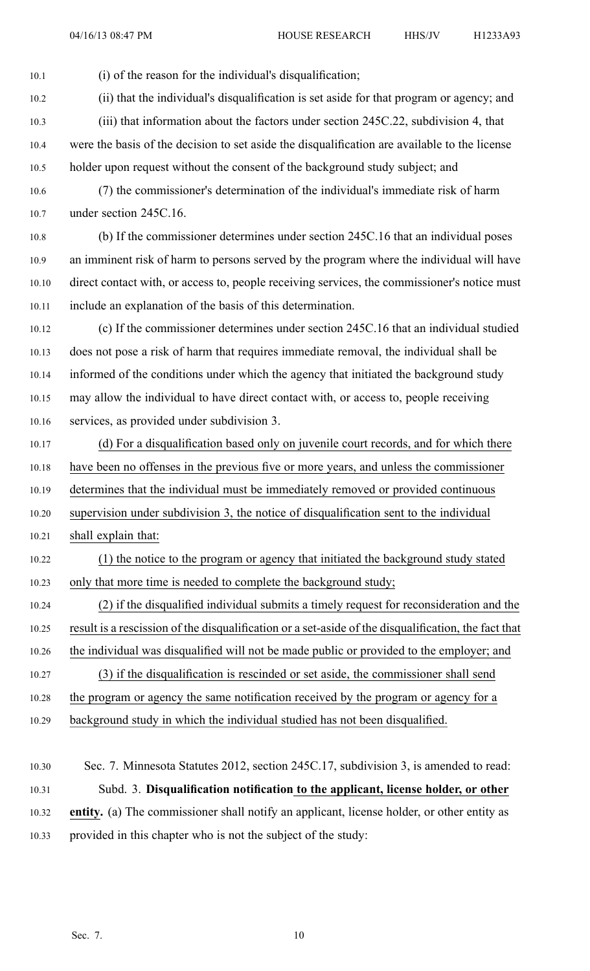10.1 (i) of the reason for the individual's disqualification;

10.2 (ii) that the individual's disqualification is set aside for that program or agency; and

- 10.3 (iii) that information about the factors under section 245C.22, subdivision 4, that
- 10.4 were the basis of the decision to set aside the disqualification are available to the license 10.5 holder upon reques<sup>t</sup> without the consent of the background study subject; and
- 10.6 (7) the commissioner's determination of the individual's immediate risk of harm 10.7 under section 245C.16.
- 10.8 (b) If the commissioner determines under section 245C.16 that an individual poses 10.9 an imminent risk of harm to persons served by the program where the individual will have 10.10 direct contact with, or access to, people receiving services, the commissioner's notice must 10.11 include an explanation of the basis of this determination.
- 10.12 (c) If the commissioner determines under section 245C.16 that an individual studied 10.13 does not pose <sup>a</sup> risk of harm that requires immediate removal, the individual shall be 10.14 informed of the conditions under which the agency that initiated the background study 10.15 may allow the individual to have direct contact with, or access to, people receiving 10.16 services, as provided under subdivision 3.
- 10.17 (d) For <sup>a</sup> disqualification based only on juvenile court records, and for which there 10.18 have been no offenses in the previous five or more years, and unless the commissioner 10.19 determines that the individual must be immediately removed or provided continuous 10.20 supervision under subdivision 3, the notice of disqualification sent to the individual
- 10.21 shall explain that:
- 10.22 (1) the notice to the program or agency that initiated the background study stated 10.23 only that more time is needed to complete the background study;
- 10.24 (2) if the disqualified individual submits <sup>a</sup> timely reques<sup>t</sup> for reconsideration and the 10.25 result is <sup>a</sup> rescission of the disqualification or <sup>a</sup> set-aside of the disqualification, the fact that
- 10.26 the individual was disqualified will not be made public or provided to the employer; and
- 10.27 (3) if the disqualification is rescinded or set aside, the commissioner shall send
- 10.28 the program or agency the same notification received by the program or agency for <sup>a</sup>
- 10.29 background study in which the individual studied has not been disqualified.
- 10.30 Sec. 7. Minnesota Statutes 2012, section 245C.17, subdivision 3, is amended to read: 10.31 Subd. 3. **Disqualification notification to the applicant, license holder, or other** 10.32 **entity.** (a) The commissioner shall notify an applicant, license holder, or other entity as 10.33 provided in this chapter who is not the subject of the study: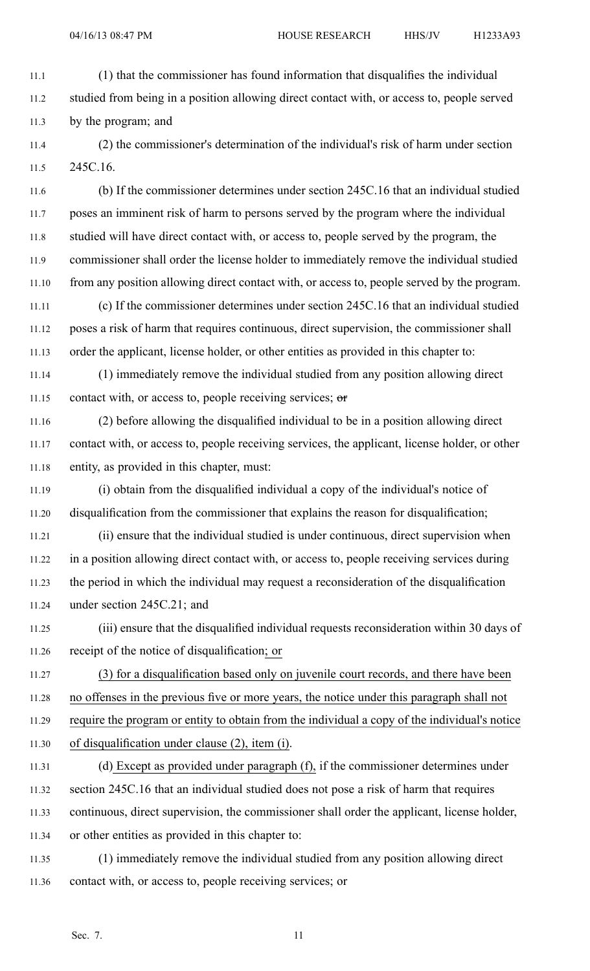04/16/13 08:47 PM HOUSE RESEARCH HHS/JV H1233A93

11.1 (1) that the commissioner has found information that disqualifies the individual 11.2 studied from being in <sup>a</sup> position allowing direct contact with, or access to, people served 11.3 by the program; and

11.4 (2) the commissioner's determination of the individual's risk of harm under section 11.5 245C.16.

11.6 (b) If the commissioner determines under section 245C.16 that an individual studied 11.7 poses an imminent risk of harm to persons served by the program where the individual 11.8 studied will have direct contact with, or access to, people served by the program, the 11.9 commissioner shall order the license holder to immediately remove the individual studied 11.10 from any position allowing direct contact with, or access to, people served by the program.

11.11 (c) If the commissioner determines under section 245C.16 that an individual studied 11.12 poses <sup>a</sup> risk of harm that requires continuous, direct supervision, the commissioner shall 11.13 order the applicant, license holder, or other entities as provided in this chapter to:

11.14 (1) immediately remove the individual studied from any position allowing direct 11.15 contact with, or access to, people receiving services; or

11.16 (2) before allowing the disqualified individual to be in <sup>a</sup> position allowing direct 11.17 contact with, or access to, people receiving services, the applicant, license holder, or other 11.18 entity, as provided in this chapter, must:

11.19 (i) obtain from the disqualified individual <sup>a</sup> copy of the individual's notice of 11.20 disqualification from the commissioner that explains the reason for disqualification;

11.21 (ii) ensure that the individual studied is under continuous, direct supervision when 11.22 in <sup>a</sup> position allowing direct contact with, or access to, people receiving services during 11.23 the period in which the individual may reques<sup>t</sup> <sup>a</sup> reconsideration of the disqualification 11.24 under section 245C.21; and

11.25 (iii) ensure that the disqualified individual requests reconsideration within 30 days of 11.26 receipt of the notice of disqualification; or

11.27 (3) for <sup>a</sup> disqualification based only on juvenile court records, and there have been 11.28 no offenses in the previous five or more years, the notice under this paragraph shall not 11.29 require the program or entity to obtain from the individual <sup>a</sup> copy of the individual's notice 11.30 of disqualification under clause (2), item (i).

11.31 (d) Except as provided under paragraph (f), if the commissioner determines under 11.32 section 245C.16 that an individual studied does not pose <sup>a</sup> risk of harm that requires 11.33 continuous, direct supervision, the commissioner shall order the applicant, license holder, 11.34 or other entities as provided in this chapter to:

11.35 (1) immediately remove the individual studied from any position allowing direct 11.36 contact with, or access to, people receiving services; or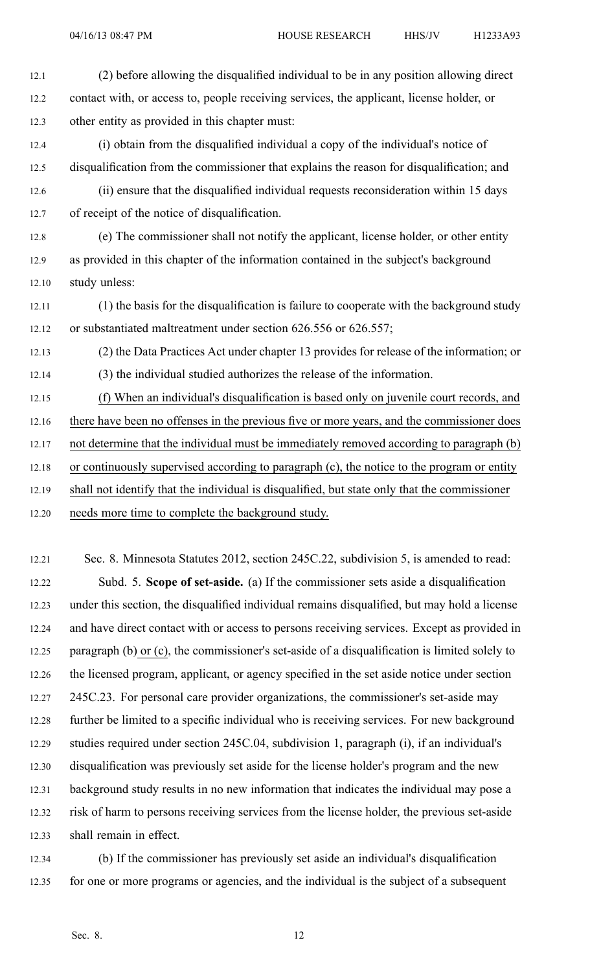- 12.1 (2) before allowing the disqualified individual to be in any position allowing direct 12.2 contact with, or access to, people receiving services, the applicant, license holder, or 12.3 other entity as provided in this chapter must: 12.4 (i) obtain from the disqualified individual <sup>a</sup> copy of the individual's notice of 12.5 disqualification from the commissioner that explains the reason for disqualification; and 12.6 (ii) ensure that the disqualified individual requests reconsideration within 15 days 12.7 of receipt of the notice of disqualification. 12.8 (e) The commissioner shall not notify the applicant, license holder, or other entity 12.9 as provided in this chapter of the information contained in the subject's background 12.10 study unless: 12.11 (1) the basis for the disqualification is failure to cooperate with the background study 12.12 or substantiated maltreatment under section 626.556 or 626.557; 12.13 (2) the Data Practices Act under chapter 13 provides for release of the information; or 12.14 (3) the individual studied authorizes the release of the information. 12.15 (f) When an individual's disqualification is based only on juvenile court records, and 12.16 there have been no offenses in the previous five or more years, and the commissioner does 12.17 not determine that the individual must be immediately removed according to paragraph (b) 12.18 or continuously supervised according to paragraph (c), the notice to the program or entity 12.19 shall not identify that the individual is disqualified, but state only that the commissioner 12.20 needs more time to complete the background study. 12.21 Sec. 8. Minnesota Statutes 2012, section 245C.22, subdivision 5, is amended to read: 12.22 Subd. 5. **Scope of set-aside.** (a) If the commissioner sets aside <sup>a</sup> disqualification 12.23 under this section, the disqualified individual remains disqualified, but may hold <sup>a</sup> license 12.24 and have direct contact with or access to persons receiving services. Except as provided in
	- 12.25 paragraph (b) or (c), the commissioner's set-aside of <sup>a</sup> disqualification is limited solely to
	- 12.26 the licensed program, applicant, or agency specified in the set aside notice under section 12.27 245C.23. For personal care provider organizations, the commissioner's set-aside may 12.28 further be limited to <sup>a</sup> specific individual who is receiving services. For new background 12.29 studies required under section 245C.04, subdivision 1, paragraph (i), if an individual's 12.30 disqualification was previously set aside for the license holder's program and the new 12.31 background study results in no new information that indicates the individual may pose <sup>a</sup> 12.32 risk of harm to persons receiving services from the license holder, the previous set-aside 12.33 shall remain in effect.
	- 12.34 (b) If the commissioner has previously set aside an individual's disqualification 12.35 for one or more programs or agencies, and the individual is the subject of <sup>a</sup> subsequent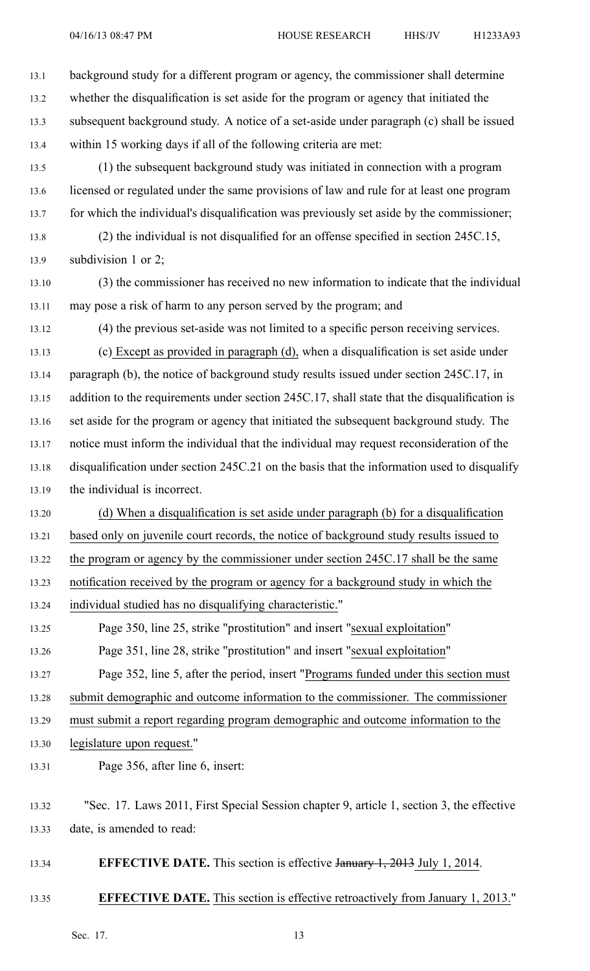13.1 background study for <sup>a</sup> different program or agency, the commissioner shall determine 13.2 whether the disqualification is set aside for the program or agency that initiated the 13.3 subsequent background study. A notice of <sup>a</sup> set-aside under paragraph (c) shall be issued 13.4 within 15 working days if all of the following criteria are met:

13.5 (1) the subsequent background study was initiated in connection with <sup>a</sup> program 13.6 licensed or regulated under the same provisions of law and rule for at least one program 13.7 for which the individual's disqualification was previously set aside by the commissioner;

13.8 (2) the individual is not disqualified for an offense specified in section 245C.15, 13.9 subdivision 1 or 2;

13.10 (3) the commissioner has received no new information to indicate that the individual 13.11 may pose <sup>a</sup> risk of harm to any person served by the program; and

13.12 (4) the previous set-aside was not limited to <sup>a</sup> specific person receiving services.

13.13 (c) Except as provided in paragraph (d), when <sup>a</sup> disqualification is set aside under 13.14 paragraph (b), the notice of background study results issued under section 245C.17, in 13.15 addition to the requirements under section 245C.17, shall state that the disqualification is 13.16 set aside for the program or agency that initiated the subsequent background study. The 13.17 notice must inform the individual that the individual may reques<sup>t</sup> reconsideration of the 13.18 disqualification under section 245C.21 on the basis that the information used to disqualify 13.19 the individual is incorrect.

13.20 (d) When <sup>a</sup> disqualification is set aside under paragraph (b) for <sup>a</sup> disqualification 13.21 based only on juvenile court records, the notice of background study results issued to 13.22 the program or agency by the commissioner under section 245C.17 shall be the same 13.23 notification received by the program or agency for <sup>a</sup> background study in which the

13.24 individual studied has no disqualifying characteristic."

13.25 Page 350, line 25, strike "prostitution" and insert "sexual exploitation" 13.26 Page 351, line 28, strike "prostitution" and insert "sexual exploitation"

13.27 Page 352, line 5, after the period, insert "Programs funded under this section must

13.28 submit demographic and outcome information to the commissioner. The commissioner

13.29 must submit <sup>a</sup> repor<sup>t</sup> regarding program demographic and outcome information to the

13.30 legislature upon request."

13.31 Page 356, after line 6, insert:

13.34 **EFFECTIVE DATE.** This section is effective January 1, 2013 July 1, 2014.

## 13.35 **EFFECTIVE DATE.** This section is effective retroactively from January 1, 2013."

<sup>13.32</sup> "Sec. 17. Laws 2011, First Special Session chapter 9, article 1, section 3, the effective 13.33 date, is amended to read: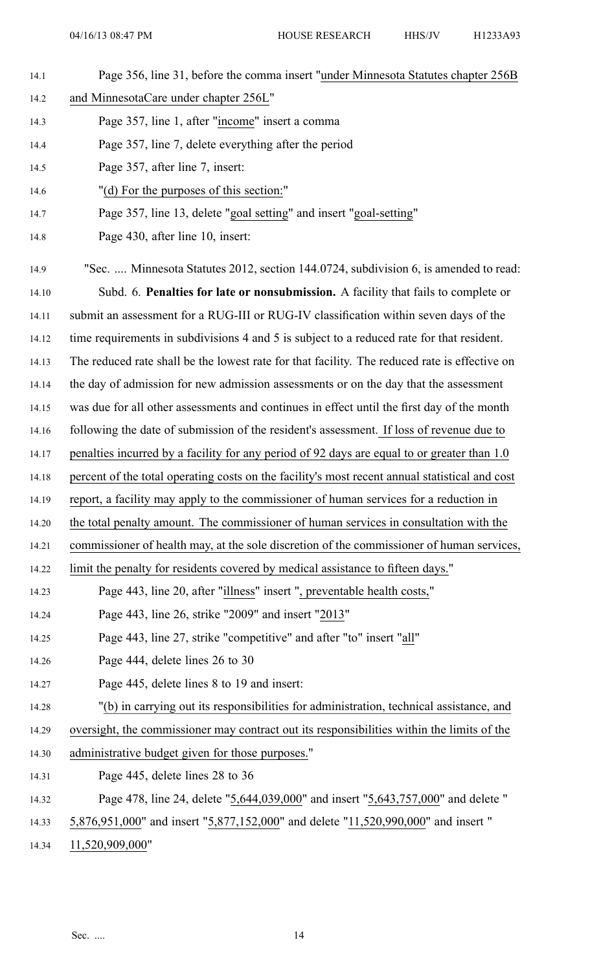- 14.1 Page 356, line 31, before the comma insert "under Minnesota Statutes chapter 256B
- 14.2 and MinnesotaCare under chapter 256L"
- 14.3 Page 357, line 1, after "income" insert <sup>a</sup> comma
- 14.4 Page 357, line 7, delete everything after the period
- 14.5 Page 357, after line 7, insert:
- 14.6 "(d) For the purposes of this section:"
- 14.7 Page 357, line 13, delete "goal setting" and insert "goal-setting"
- 14.8 Page 430, after line 10, insert:
- 14.9 "Sec. .... Minnesota Statutes 2012, section 144.0724, subdivision 6, is amended to read:
- 14.10 Subd. 6. **Penalties for late or nonsubmission.** A facility that fails to complete or
- 14.11 submit an assessment for <sup>a</sup> RUG-III or RUG-IV classification within seven days of the
- 14.12 time requirements in subdivisions 4 and 5 is subject to <sup>a</sup> reduced rate for that resident.
- 14.13 The reduced rate shall be the lowest rate for that facility. The reduced rate is effective on
- 14.14 the day of admission for new admission assessments or on the day that the assessment
- 14.15 was due for all other assessments and continues in effect until the first day of the month
- 14.16 following the date of submission of the resident's assessment. If loss of revenue due to
- 14.17 penalties incurred by <sup>a</sup> facility for any period of 92 days are equal to or greater than 1.0
- 14.18 percen<sup>t</sup> of the total operating costs on the facility's most recent annual statistical and cost
- 14.19 report, <sup>a</sup> facility may apply to the commissioner of human services for <sup>a</sup> reduction in
- 14.20 the total penalty amount. The commissioner of human services in consultation with the
- 14.21 commissioner of health may, at the sole discretion of the commissioner of human services,
- 14.22 limit the penalty for residents covered by medical assistance to fifteen days."
- 14.23 Page 443, line 20, after "illness" insert ", preventable health costs,"
- 14.24 Page 443, line 26, strike "2009" and insert "2013"
- 14.25 Page 443, line 27, strike "competitive" and after "to" insert "all"
- 14.26 Page 444, delete lines 26 to 30
- 14.27 Page 445, delete lines 8 to 19 and insert:
- 14.28 "(b) in carrying out its responsibilities for administration, technical assistance, and
- 14.29 oversight, the commissioner may contract out its responsibilities within the limits of the
- 14.30 administrative budget given for those purposes."
- 14.31 Page 445, delete lines 28 to 36
- 14.32 Page 478, line 24, delete "5,644,039,000" and insert "5,643,757,000" and delete "
- 14.33 5,876,951,000" and insert "5,877,152,000" and delete "11,520,990,000" and insert "
- 14.34 11,520,909,000"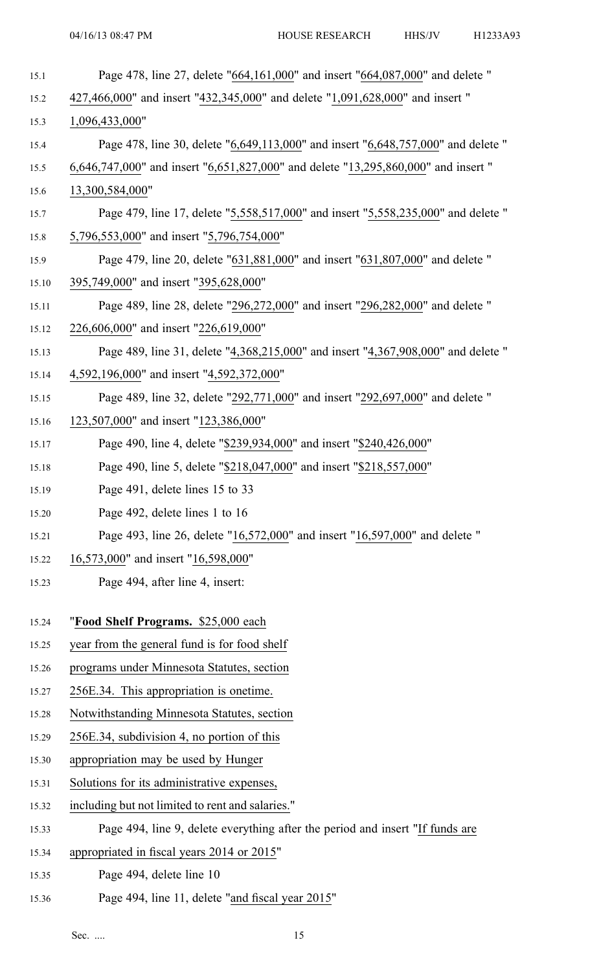| 15.1  | Page 478, line 27, delete "664,161,000" and insert "664,087,000" and delete "      |
|-------|------------------------------------------------------------------------------------|
| 15.2  | 427,466,000" and insert "432,345,000" and delete "1,091,628,000" and insert "      |
| 15.3  | 1,096,433,000"                                                                     |
| 15.4  | Page 478, line 30, delete "6,649,113,000" and insert "6,648,757,000" and delete "  |
| 15.5  | 6,646,747,000" and insert "6,651,827,000" and delete "13,295,860,000" and insert " |
| 15.6  | 13,300,584,000"                                                                    |
| 15.7  | Page 479, line 17, delete "5,558,517,000" and insert "5,558,235,000" and delete "  |
| 15.8  | 5,796,553,000" and insert "5,796,754,000"                                          |
| 15.9  | Page 479, line 20, delete "631,881,000" and insert "631,807,000" and delete "      |
| 15.10 | 395,749,000" and insert "395,628,000"                                              |
| 15.11 | Page 489, line 28, delete "296,272,000" and insert "296,282,000" and delete "      |
| 15.12 | 226,606,000" and insert "226,619,000"                                              |
| 15.13 | Page 489, line 31, delete "4,368,215,000" and insert "4,367,908,000" and delete "  |
| 15.14 | 4,592,196,000" and insert "4,592,372,000"                                          |
| 15.15 | Page 489, line 32, delete "292,771,000" and insert "292,697,000" and delete "      |
| 15.16 | 123,507,000" and insert "123,386,000"                                              |
| 15.17 | Page 490, line 4, delete "\$239,934,000" and insert "\$240,426,000"                |
| 15.18 | Page 490, line 5, delete "\$218,047,000" and insert "\$218,557,000"                |
| 15.19 | Page 491, delete lines 15 to 33                                                    |
| 15.20 | Page 492, delete lines 1 to 16                                                     |
| 15.21 | Page 493, line 26, delete "16,572,000" and insert "16,597,000" and delete "        |
| 15.22 | 16,573,000" and insert "16,598,000"                                                |
| 15.23 | Page 494, after line 4, insert:                                                    |
| 15.24 | "Food Shelf Programs. \$25,000 each                                                |
| 15.25 | year from the general fund is for food shelf                                       |
| 15.26 | programs under Minnesota Statutes, section                                         |
| 15.27 | 256E.34. This appropriation is onetime.                                            |
| 15.28 | Notwithstanding Minnesota Statutes, section                                        |
| 15.29 | 256E.34, subdivision 4, no portion of this                                         |
| 15.30 | appropriation may be used by Hunger                                                |
| 15.31 | Solutions for its administrative expenses,                                         |
| 15.32 | including but not limited to rent and salaries."                                   |
| 15.33 | Page 494, line 9, delete everything after the period and insert "If funds are      |
| 15.34 | appropriated in fiscal years 2014 or 2015"                                         |
| 15.35 | Page 494, delete line 10                                                           |
|       |                                                                                    |

15.36 Page 494, line 11, delete "and fiscal year 2015"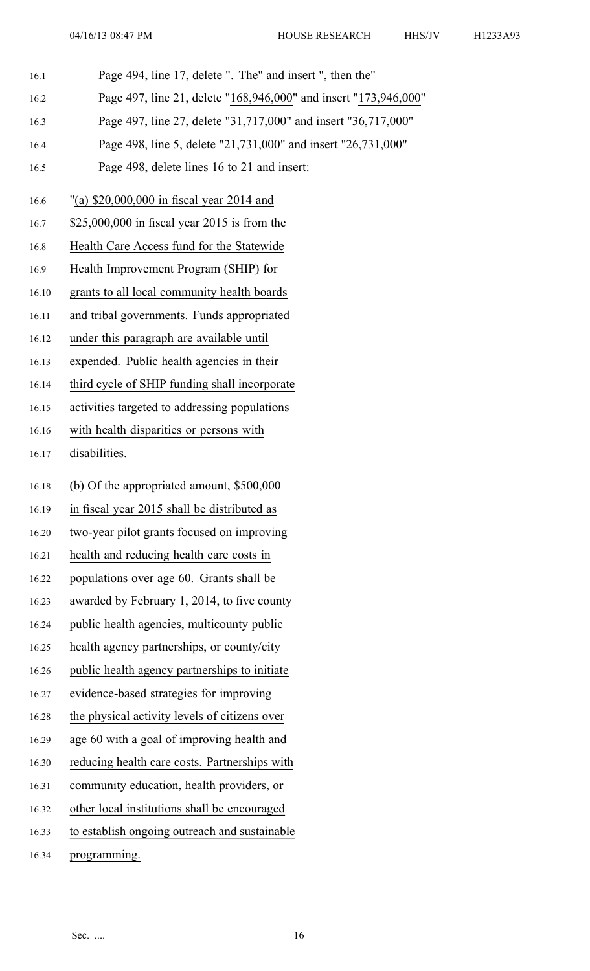- 16.1 Page 494, line 17, delete ". The" and insert ", then the"
- 16.2 Page 497, line 21, delete "168,946,000" and insert "173,946,000"
- 16.3 Page 497, line 27, delete "31,717,000" and insert "36,717,000"
- 16.4 Page 498, line 5, delete "21,731,000" and insert "26,731,000"
- 16.5 Page 498, delete lines 16 to 21 and insert:
- 16.6 "(a) \$20,000,000 in fiscal year 2014 and
- 16.7 \$25,000,000 in fiscal year 2015 is from the
- 16.8 Health Care Access fund for the Statewide
- 16.9 Health Improvement Program (SHIP) for
- 16.10 grants to all local community health boards
- 16.11 and tribal governments. Funds appropriated
- 16.12 under this paragraph are available until
- 16.13 expended. Public health agencies in their
- 16.14 third cycle of SHIP funding shall incorporate
- 16.15 activities targeted to addressing populations
- 16.16 with health disparities or persons with
- 16.17 disabilities.
- 16.18 (b) Of the appropriated amount, \$500,000
- 16.19 in fiscal year 2015 shall be distributed as
- 16.20 two-year pilot grants focused on improving
- 16.21 health and reducing health care costs in
- 16.22 populations over age 60. Grants shall be
- 16.23 awarded by February 1, 2014, to five county
- 16.24 public health agencies, multicounty public
- 16.25 health agency partnerships, or county/city
- 16.26 public health agency partnerships to initiate
- 16.27 evidence-based strategies for improving
- 16.28 the physical activity levels of citizens over
- 16.29 age 60 with <sup>a</sup> goal of improving health and
- 16.30 reducing health care costs. Partnerships with
- 16.31 community education, health providers, or
- 16.32 other local institutions shall be encouraged
- 16.33 to establish ongoing outreach and sustainable
- 16.34 programming.